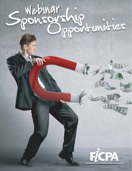# Webinar<br>Jonsonship<br>Jonsonship

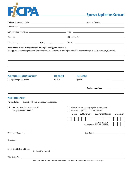## FICPA

## **Sponsor Application/Contract**

| Please write a 20-word description of your company's product(s) and/or service(s).<br>Your application cannot be processed without a description. Please type or print legibly. The FICPA reserves the right to edit your company's description.<br>,我们也不会有什么。""我们的人,我们也不会有什么?""我们的人,我们也不会有什么?""我们的人,我们也不会有什么?""我们的人,我们也不会有什么?""我们的人 |              |                                                                                                                                              |                                                                                                                         |  |
|--------------------------------------------------------------------------------------------------------------------------------------------------------------------------------------------------------------------------------------------------------------------------------------------------------------------------------------|--------------|----------------------------------------------------------------------------------------------------------------------------------------------|-------------------------------------------------------------------------------------------------------------------------|--|
| <b>Webinar Sponsorship Opportunity</b>                                                                                                                                                                                                                                                                                               | Fee (1 hour) | Fee (2 hour)                                                                                                                                 |                                                                                                                         |  |
| <b>Speaking Opportunity</b><br>$\Box$                                                                                                                                                                                                                                                                                                | \$1,200      | \$1,800                                                                                                                                      |                                                                                                                         |  |
| <b>Method of Payment</b><br>Payment in full must accompany this contract.<br><b>Payment Policy:</b>                                                                                                                                                                                                                                  |              |                                                                                                                                              | <b>Total Amount Due:</b>                                                                                                |  |
| Check enclosed in the amount of \$<br>$\Box$<br>make payable to " FICPA ".                                                                                                                                                                                                                                                           |              | Please charge my company-issued credit card:<br>⊔<br>Please charge my personal credit card:<br>$\Box$<br>$\square$ Visa<br>$\Box$ MasterCard | □ American Express<br>$\Box$ Discover<br><b>Card Validation Code:</b><br>(3 or 4 digit code located on the credit card) |  |
|                                                                                                                                                                                                                                                                                                                                      |              |                                                                                                                                              |                                                                                                                         |  |
| <b>Credit Card Billing Address:</b><br>(if different from above)                                                                                                                                                                                                                                                                     |              |                                                                                                                                              |                                                                                                                         |  |